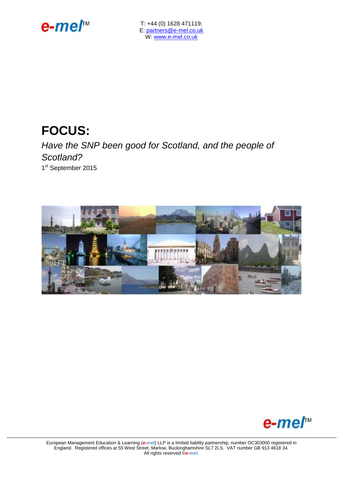

T: +44 (0) 1628 471119; E: [partners@e-mel.co.uk](mailto:partners@e-mel.co.uk) W: [www.e-mel.co.uk](http://www.e-mel.co.uk/)

# **FOCUS:**

*Have the SNP been good for Scotland, and the people of Scotland?* 1st September 2015





European Management Education & Learning (*e-mel*) LLP is a limited liability partnership, number OC303000 registered in England. Registered offices at 55 West Street, Marlow, Buckinghamshire SL7 2LS. VAT number GB 913 4618 34. All rights reserved ©*e-mel*.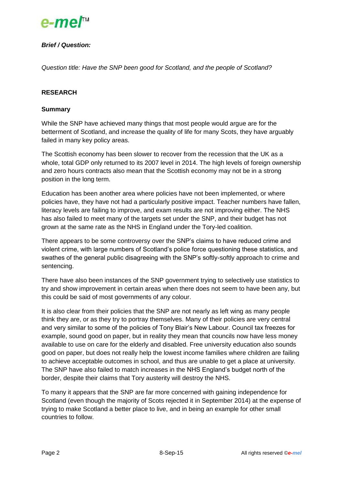

# *Brief / Question:*

*Question title: Have the SNP been good for Scotland, and the people of Scotland?*

## **RESEARCH**

### **Summary**

While the SNP have achieved many things that most people would argue are for the betterment of Scotland, and increase the quality of life for many Scots, they have arguably failed in many key policy areas.

The Scottish economy has been slower to recover from the recession that the UK as a whole, total GDP only returned to its 2007 level in 2014. The high levels of foreign ownership and zero hours contracts also mean that the Scottish economy may not be in a strong position in the long term.

Education has been another area where policies have not been implemented, or where policies have, they have not had a particularly positive impact. Teacher numbers have fallen, literacy levels are failing to improve, and exam results are not improving either. The NHS has also failed to meet many of the targets set under the SNP, and their budget has not grown at the same rate as the NHS in England under the Tory-led coalition.

There appears to be some controversy over the SNP's claims to have reduced crime and violent crime, with large numbers of Scotland's police force questioning these statistics, and swathes of the general public disagreeing with the SNP's softly-softly approach to crime and sentencing.

There have also been instances of the SNP government trying to selectively use statistics to try and show improvement in certain areas when there does not seem to have been any, but this could be said of most governments of any colour.

It is also clear from their policies that the SNP are not nearly as left wing as many people think they are, or as they try to portray themselves. Many of their policies are very central and very similar to some of the policies of Tony Blair's New Labour. Council tax freezes for example, sound good on paper, but in reality they mean that councils now have less money available to use on care for the elderly and disabled. Free university education also sounds good on paper, but does not really help the lowest income families where children are failing to achieve acceptable outcomes in school, and thus are unable to get a place at university. The SNP have also failed to match increases in the NHS England's budget north of the border, despite their claims that Tory austerity will destroy the NHS.

To many it appears that the SNP are far more concerned with gaining independence for Scotland (even though the majority of Scots rejected it in September 2014) at the expense of trying to make Scotland a better place to live, and in being an example for other small countries to follow.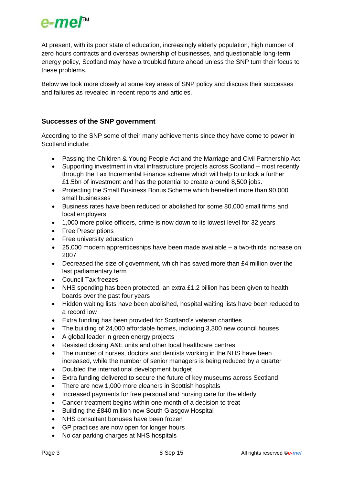

At present, with its poor state of education, increasingly elderly population, high number of zero hours contracts and overseas ownership of businesses, and questionable long-term energy policy, Scotland may have a troubled future ahead unless the SNP turn their focus to these problems.

Below we look more closely at some key areas of SNP policy and discuss their successes and failures as revealed in recent reports and articles.

# **Successes of the SNP government**

According to the SNP some of their many achievements since they have come to power in Scotland include:

- Passing the Children & Young People Act and the Marriage and Civil Partnership Act
- Supporting investment in vital infrastructure projects across Scotland most recently through the Tax Incremental Finance scheme which will help to unlock a further £1.5bn of investment and has the potential to create around 8,500 jobs.
- Protecting the Small Business Bonus Scheme which benefited more than 90,000 small businesses
- Business rates have been reduced or abolished for some 80,000 small firms and local employers
- 1,000 more police officers, crime is now down to its lowest level for 32 years
- Free Prescriptions
- Free university education
- 25,000 modern apprenticeships have been made available a two-thirds increase on 2007
- Decreased the size of government, which has saved more than £4 million over the last parliamentary term
- Council Tax freezes
- NHS spending has been protected, an extra £1.2 billion has been given to health boards over the past four years
- Hidden waiting lists have been abolished, hospital waiting lists have been reduced to a record low
- Extra funding has been provided for Scotland's veteran charities
- The building of 24,000 affordable homes, including 3,300 new council houses
- A global leader in green energy projects
- Resisted closing A&E units and other local healthcare centres
- The number of nurses, doctors and dentists working in the NHS have been increased, while the number of senior managers is being reduced by a quarter
- Doubled the international development budget
- Extra funding delivered to secure the future of key museums across Scotland
- There are now 1,000 more cleaners in Scottish hospitals
- Increased payments for free personal and nursing care for the elderly
- Cancer treatment begins within one month of a decision to treat
- Building the £840 million new South Glasgow Hospital
- NHS consultant bonuses have been frozen
- GP practices are now open for longer hours
- No car parking charges at NHS hospitals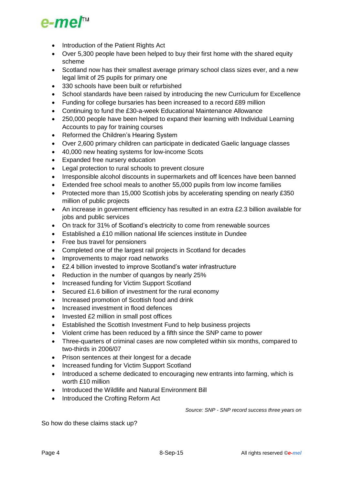

- Introduction of the Patient Rights Act
- Over 5,300 people have been helped to buy their first home with the shared equity scheme
- Scotland now has their smallest average primary school class sizes ever, and a new legal limit of 25 pupils for primary one
- 330 schools have been built or refurbished
- School standards have been raised by introducing the new Curriculum for Excellence
- Funding for college bursaries has been increased to a record £89 million
- Continuing to fund the £30-a-week Educational Maintenance Allowance
- 250,000 people have been helped to expand their learning with Individual Learning Accounts to pay for training courses
- Reformed the Children's Hearing System
- Over 2,600 primary children can participate in dedicated Gaelic language classes
- 40,000 new heating systems for low-income Scots
- Expanded free nursery education
- Legal protection to rural schools to prevent closure
- Irresponsible alcohol discounts in supermarkets and off licences have been banned
- Extended free school meals to another 55,000 pupils from low income families
- Protected more than 15,000 Scottish jobs by accelerating spending on nearly £350 million of public projects
- An increase in government efficiency has resulted in an extra £2.3 billion available for jobs and public services
- On track for 31% of Scotland's electricity to come from renewable sources
- Established a £10 million national life sciences institute in Dundee
- Free bus travel for pensioners
- Completed one of the largest rail projects in Scotland for decades
- Improvements to major road networks
- £2.4 billion invested to improve Scotland's water infrastructure
- Reduction in the number of quangos by nearly 25%
- Increased funding for Victim Support Scotland
- Secured £1.6 billion of investment for the rural economy
- Increased promotion of Scottish food and drink
- Increased investment in flood defences
- Invested £2 million in small post offices
- Established the Scottish Investment Fund to help business projects
- Violent crime has been reduced by a fifth since the SNP came to power
- Three-quarters of criminal cases are now completed within six months, compared to two-thirds in 2006/07
- Prison sentences at their longest for a decade
- Increased funding for Victim Support Scotland
- Introduced a scheme dedicated to encouraging new entrants into farming, which is worth £10 million
- Introduced the Wildlife and Natural Environment Bill
- Introduced the Crofting Reform Act

*Source: SNP - SNP record success three years on*

So how do these claims stack up?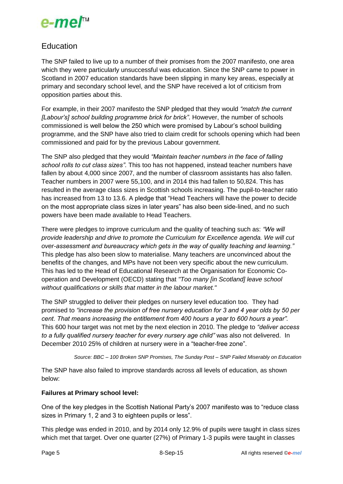

# Education

The SNP failed to live up to a number of their promises from the 2007 manifesto, one area which they were particularly unsuccessful was education. Since the SNP came to power in Scotland in 2007 education standards have been slipping in many key areas, especially at primary and secondary school level, and the SNP have received a lot of criticism from opposition parties about this.

For example, in their 2007 manifesto the SNP pledged that they would *"match the current [Labour's] school building programme brick for brick"*. However, the number of schools commissioned is well below the 250 which were promised by Labour's school building programme, and the SNP have also tried to claim credit for schools opening which had been commissioned and paid for by the previous Labour government.

The SNP also pledged that they would *"Maintain teacher numbers in the face of falling school rolls to cut class sizes"*. This too has not happened, instead teacher numbers have fallen by about 4,000 since 2007, and the number of classroom assistants has also fallen. Teacher numbers in 2007 were 55,100, and in 2014 this had fallen to 50,824. This has resulted in the average class sizes in Scottish schools increasing. The pupil-to-teacher ratio has increased from 13 to 13.6. A pledge that "Head Teachers will have the power to decide on the most appropriate class sizes in later years" has also been side-lined, and no such powers have been made available to Head Teachers.

There were pledges to improve curriculum and the quality of teaching such as: *"We will provide leadership and drive to promote the Curriculum for Excellence agenda. We will cut over-assessment and bureaucracy which gets in the way of quality teaching and learning."* This pledge has also been slow to materialise. Many teachers are unconvinced about the benefits of the changes, and MPs have not been very specific about the new curriculum. This has led to the Head of Educational Research at the Organisation for Economic Cooperation and Development (OECD) stating that *"Too many [in Scotland] leave school without qualifications or skills that matter in the labour market."*

The SNP struggled to deliver their pledges on nursery level education too. They had promised to *"increase the provision of free nursery education for 3 and 4 year olds by 50 per cent. That means increasing the entitlement from 400 hours a year to 600 hours a year".*  This 600 hour target was not met by the next election in 2010. The pledge to *"deliver access to a fully qualified nursery teacher for every nursery age child"* was also not delivered. In December 2010 25% of children at nursery were in a "teacher-free zone".

*Source: BBC – 100 Broken SNP Promises, The Sunday Post – SNP Failed Miserably on Education*

The SNP have also failed to improve standards across all levels of education, as shown below:

## **Failures at Primary school level:**

One of the key pledges in the Scottish National Party's 2007 manifesto was to "reduce class sizes in Primary 1, 2 and 3 to eighteen pupils or less".

This pledge was ended in 2010, and by 2014 only 12.9% of pupils were taught in class sizes which met that target. Over one quarter (27%) of Primary 1-3 pupils were taught in classes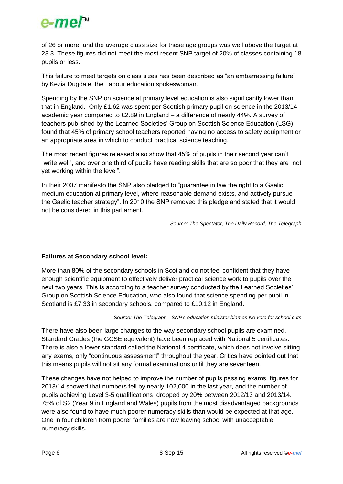

of 26 or more, and the average class size for these age groups was well above the target at 23.3. These figures did not meet the most recent SNP target of 20% of classes containing 18 pupils or less.

This failure to meet targets on class sizes has been described as "an embarrassing failure" by Kezia Dugdale, the Labour education spokeswoman.

Spending by the SNP on science at primary level education is also significantly lower than that in England. Only £1.62 was spent per Scottish primary pupil on science in the 2013/14 academic year compared to £2.89 in England – a difference of nearly 44%. A survey of teachers published by the Learned Societies' Group on Scottish Science Education (LSG) found that 45% of primary school teachers reported having no access to safety equipment or an appropriate area in which to conduct practical science teaching.

The most recent figures released also show that 45% of pupils in their second year can't "write well", and over one third of pupils have reading skills that are so poor that they are "not yet working within the level".

In their 2007 manifesto the SNP also pledged to "guarantee in law the right to a Gaelic medium education at primary level, where reasonable demand exists, and actively pursue the Gaelic teacher strategy". In 2010 the SNP removed this pledge and stated that it would not be considered in this parliament.

*Source: The Spectator, The Daily Record, The Telegraph*

## **Failures at Secondary school level:**

More than 80% of the secondary schools in Scotland do not feel confident that they have enough scientific equipment to effectively deliver practical science work to pupils over the next two years. This is according to a teacher survey conducted by the Learned Societies' Group on Scottish Science Education, who also found that science spending per pupil in Scotland is £7.33 in secondary schools, compared to £10.12 in England.

*Source: The Telegraph - SNP's education minister blames No vote for school cuts*

There have also been large changes to the way secondary school pupils are examined, Standard Grades (the GCSE equivalent) have been replaced with National 5 certificates. There is also a lower standard called the National 4 certificate, which does not involve sitting any exams, only "continuous assessment" throughout the year. Critics have pointed out that this means pupils will not sit any formal examinations until they are seventeen.

These changes have not helped to improve the number of pupils passing exams, figures for 2013/14 showed that numbers fell by nearly 102,000 in the last year, and the number of pupils achieving Level 3-5 qualifications dropped by 20% between 2012/13 and 2013/14. 75% of S2 (Year 9 in England and Wales) pupils from the most disadvantaged backgrounds were also found to have much poorer numeracy skills than would be expected at that age. One in four children from poorer families are now leaving school with unacceptable numeracy skills.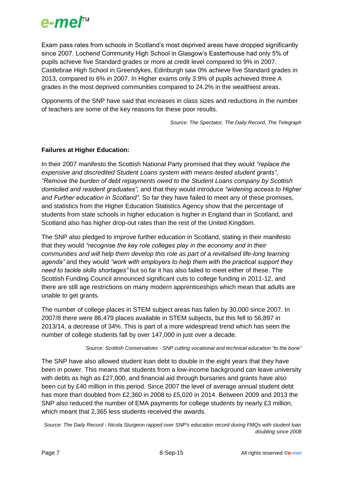

Exam pass rates from schools in Scotland's most deprived areas have dropped significantly since 2007. Lochend Community High School in Glasgow's Easterhouse had only 5% of pupils achieve five Standard grades or more at credit level compared to 9% in 2007. Castlebrae High School in Greendykes, Edinburgh saw 0% achieve five Standard grades in 2013, compared to 6% in 2007. In Higher exams only 3.9% of pupils achieved three A grades in the most deprived communities compared to 24.2% in the wealthiest areas.

Opponents of the SNP have said that increases in class sizes and reductions in the number of teachers are some of the key reasons for these poor results.

*Source: The Spectator, The Daily Record, The Telegraph*

# **Failures at Higher Education:**

In their 2007 manifesto the Scottish National Party promised that they would *"replace the expensive and discredited Student Loans system with means-tested student grants"*, *"Remove the burden of debt repayments owed to the Student Loans company by Scottish domiciled and resident graduates"*, and that they would introduce *"widening access to Higher and Further education in Scotland".* So far they have failed to meet any of these promises, and statistics from the Higher Education Statistics Agency show that the percentage of students from state schools in higher education is higher in England than in Scotland, and Scotland also has higher drop-out rates than the rest of the United Kingdom.

The SNP also pledged to improve further education in Scotland, stating in their manifesto that they would *"recognise the key role colleges play in the economy and in their communities and will help them develop this role as part of a revitalised life-long learning agenda"* and they would *"work with employers to help them with the practical support they need to tackle skills shortages"* but so far it has also failed to meet either of these. The Scottish Funding Council announced significant cuts to college funding in 2011-12, and there are still age restrictions on many modern apprenticeships which mean that adults are unable to get grants.

The number of college places in STEM subject areas has fallen by 30,000 since 2007. In 2007/8 there were 86,479 places available in STEM subjects, but this fell to 56,897 in 2013/14, a decrease of 34%. This is part of a more widespread trend which has seen the number of college students fall by over 147,000 in just over a decade.

*Source: Scottish Conservatives - SNP cutting vocational and technical education "to the bone"*

The SNP have also allowed student loan debt to double in the eight years that they have been in power. This means that students from a low-income background can leave university with debts as high as £27,000, and financial aid through bursaries and grants have also been cut by £40 million in this period. Since 2007 the level of average annual student debt has more than doubled from £2,360 in 2008 to £5,020 in 2014. Between 2009 and 2013 the SNP also reduced the number of EMA payments for college students by nearly £3 million, which meant that 2,365 less students received the awards.

*Source: The Daily Record - Nicola Sturgeon rapped over SNP's education record during FMQs with student loan doubling since 2008*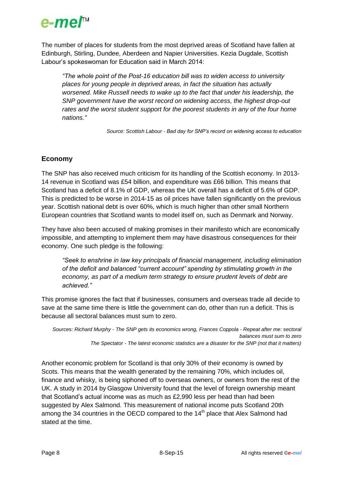

The number of places for students from the most deprived areas of Scotland have fallen at Edinburgh, Stirling, Dundee, Aberdeen and Napier Universities. Kezia Dugdale, Scottish Labour's spokeswoman for Education said in March 2014:

*"The whole point of the Post-16 education bill was to widen access to university places for young people in deprived areas, in fact the situation has actually worsened. Mike Russell needs to wake up to the fact that under his leadership, the SNP government have the worst record on widening access, the highest drop-out*  rates and the worst student support for the poorest students in any of the four home *nations."*

*Source: Scottish Labour - Bad day for SNP's record on widening access to education*

# **Economy**

The SNP has also received much criticism for its handling of the Scottish economy. In 2013- 14 revenue in Scotland was £54 billion, and expenditure was £66 billion. This means that Scotland has a deficit of 8.1% of GDP, whereas the UK overall has a deficit of 5.6% of GDP. This is predicted to be worse in 2014-15 as oil prices have fallen significantly on the previous year. Scottish national debt is over 60%, which is much higher than other small Northern European countries that Scotland wants to model itself on, such as Denmark and Norway.

They have also been accused of making promises in their manifesto which are economically impossible, and attempting to implement them may have disastrous consequences for their economy. One such pledge is the following:

*"Seek to enshrine in law key principals of financial management, including elimination of the deficit and balanced "current account" spending by stimulating growth in the economy, as part of a medium term strategy to ensure prudent levels of debt are achieved."*

This promise ignores the fact that if businesses, consumers and overseas trade all decide to save at the same time there is little the government can do, other than run a deficit. This is because all sectoral balances must sum to zero.

*Sources: Richard Murphy - The SNP gets its economics wrong, Frances Coppola - Repeat after me: sectoral balances must sum to zero The Spectator - The latest economic statistics are a disaster for the SNP (not that it matters)*

Another economic problem for Scotland is that only 30% of their economy is owned by Scots. This means that the wealth generated by the remaining 70%, which includes oil, finance and whisky, is being siphoned off to overseas owners, or owners from the rest of the UK. A study in 2014 by Glasgow University found that the level of foreign ownership meant that Scotland's actual income was as much as £2,990 less per head than had been suggested by Alex Salmond. This measurement of national income puts Scotland 20th among the 34 countries in the OECD compared to the 14<sup>th</sup> place that Alex Salmond had stated at the time.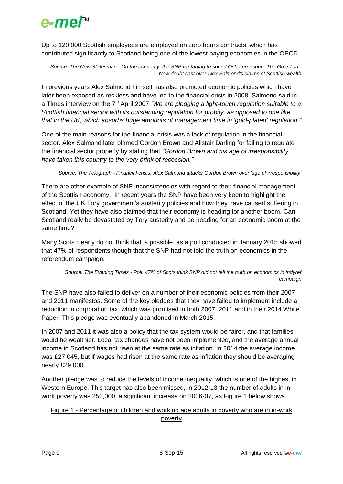

Up to 120,000 Scottish employees are employed on zero hours contracts, which has contributed significantly to Scotland being one of the lowest paying economies in the OECD.

*Source: The New Statesman - On the economy, the SNP is starting to sound Osborne-esque, The Guardian - New doubt cast over Alex Salmond's claims of Scottish wealth*

In previous years Alex Salmond himself has also promoted economic policies which have later been exposed as reckless and have led to the financial crisis in 2008. Salmond said in a Times interview on the 7<sup>th</sup> April 2007 *"We are pledging a light-touch regulation suitable to a Scottish financial sector with its outstanding reputation for probity, as opposed to one like that in the UK, which absorbs huge amounts of management time in 'gold-plated' regulation."*

One of the main reasons for the financial crisis was a lack of regulation in the financial sector. Alex Salmond later blamed Gordon Brown and Alistair Darling for failing to regulate the financial sector properly by stating that *"Gordon Brown and his age of irresponsibility have taken this country to the very brink of recession."*

*Source: The Telegraph - Financial crisis: Alex Salmond attacks Gordon Brown over 'age of irresponsibility'*

There are other example of SNP inconsistencies with regard to their financial management of the Scottish economy. In recent years the SNP have been very keen to highlight the effect of the UK Tory government's austerity policies and how they have caused suffering in Scotland. Yet they have also claimed that their economy is heading for another boom. Can Scotland really be devastated by Tory austerity and be heading for an economic boom at the same time?

Many Scots clearly do not think that is possible, as a poll conducted in January 2015 showed that 47% of respondents though that the SNP had not told the truth on economics in the referendum campaign.

*Source: The Evening Times - Poll: 47% of Scots think SNP did not tell the truth on economics in indyref campaign*

The SNP have also failed to deliver on a number of their economic policies from their 2007 and 2011 manifestos. Some of the key pledges that they have failed to implement include a reduction in corporation tax, which was promised in both 2007, 2011 and in their 2014 White Paper. This pledge was eventually abandoned in March 2015.

In 2007 and 2011 it was also a policy that the tax system would be fairer, and that families would be wealthier. Local tax changes have not been implemented, and the average annual income in Scotland has not risen at the same rate as inflation. In 2014 the average income was £27,045, but if wages had risen at the same rate as inflation they should be averaging nearly £29,000.

Another pledge was to reduce the levels of income inequality, which is one of the highest in Western Europe. This target has also been missed, in 2012-13 the number of adults in inwork poverty was 250,000, a significant increase on 2006-07, as Figure 1 below shows.

### Figure 1 - Percentage of children and working age adults in poverty who are in in-work poverty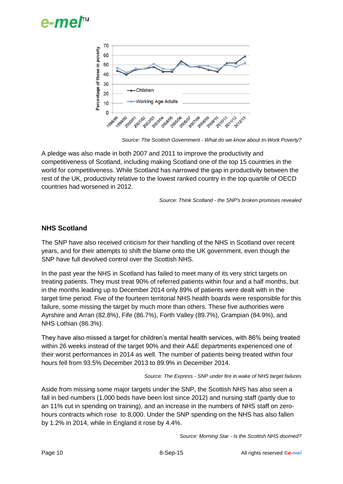



*Source: The Scottish Government - What do we know about In-Work Poverty?*

A pledge was also made in both 2007 and 2011 to improve the productivity and competitiveness of Scotland, including making Scotland one of the top 15 countries in the world for competitiveness. While Scotland has narrowed the gap in productivity between the rest of the UK, productivity relative to the lowest ranked country in the top quartile of OECD countries had worsened in 2012.

*Source: Think Scotland - the SNP's broken promises revealed* 

# **NHS Scotland**

The SNP have also received criticism for their handling of the NHS in Scotland over recent years, and for their attempts to shift the blame onto the UK government, even though the SNP have full devolved control over the Scottish NHS.

In the past year the NHS in Scotland has failed to meet many of its very strict targets on treating patients. They must treat 90% of referred patients within four and a half months, but in the months leading up to December 2014 only 89% of patients were dealt with in the target time period. Five of the fourteen territorial NHS health boards were responsible for this failure, some missing the target by much more than others. These five authorities were Ayrshire and Arran (82.8%), Fife (86.7%), Forth Valley (89.7%), Grampian (84.9%), and NHS Lothian (86.3%).

They have also missed a target for children's mental health services, with 86% being treated within 26 weeks instead of the target 90% and their A&E departments experienced one of their worst performances in 2014 as well. The number of patients being treated within four hours fell from 93.5% December 2013 to 89.9% in December 2014.

#### *Source: The Express - SNP under fire in wake of NHS target failures*

Aside from missing some major targets under the SNP, the Scottish NHS has also seen a fall in bed numbers (1,000 beds have been lost since 2012) and nursing staff (partly due to an 11% cut in spending on training), and an increase in the numbers of NHS staff on zerohours contracts which rose to 8,000. Under the SNP spending on the NHS has also fallen by 1.2% in 2014, while in England it rose by 4.4%.

*Source: Morning Star - Is the Scottish NHS doomed?*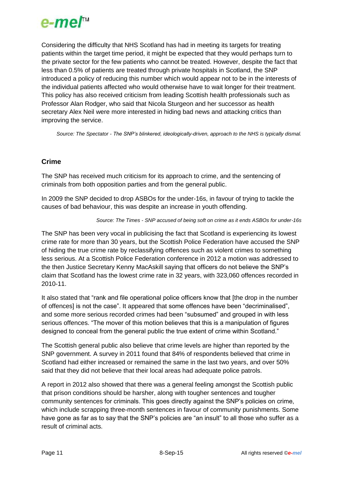

Considering the difficulty that NHS Scotland has had in meeting its targets for treating patients within the target time period, it might be expected that they would perhaps turn to the private sector for the few patients who cannot be treated. However, despite the fact that less than 0.5% of patients are treated through private hospitals in Scotland, the SNP introduced a policy of reducing this number which would appear not to be in the interests of the individual patients affected who would otherwise have to wait longer for their treatment. This policy has also received criticism from leading Scottish health professionals such as Professor Alan Rodger, who said that Nicola Sturgeon and her successor as health secretary Alex Neil were more interested in hiding bad news and attacking critics than improving the service.

*Source: The Spectator - The SNP's blinkered, ideologically-driven, approach to the NHS is typically dismal.*

# **Crime**

The SNP has received much criticism for its approach to crime, and the sentencing of criminals from both opposition parties and from the general public.

In 2009 the SNP decided to drop ASBOs for the under-16s, in favour of trying to tackle the causes of bad behaviour, this was despite an increase in youth offending.

#### *Source: The Times - SNP accused of being soft on crime as it ends ASBOs for under-16s*

The SNP has been very vocal in publicising the fact that Scotland is experiencing its lowest crime rate for more than 30 years, but the Scottish Police Federation have accused the SNP of hiding the true crime rate by reclassifying offences such as violent crimes to something less serious. At a Scottish Police Federation conference in 2012 a motion was addressed to the then Justice Secretary Kenny MacAskill saying that officers do not believe the SNP's claim that Scotland has the lowest crime rate in 32 years, with 323,060 offences recorded in 2010-11.

It also stated that "rank and file operational police officers know that [the drop in the number of offences] is not the case". It appeared that some offences have been "decriminalised", and some more serious recorded crimes had been "subsumed" and grouped in with less serious offences. "The mover of this motion believes that this is a manipulation of figures designed to conceal from the general public the true extent of crime within Scotland."

The Scottish general public also believe that crime levels are higher than reported by the SNP government. A survey in 2011 found that 84% of respondents believed that crime in Scotland had either increased or remained the same in the last two years, and over 50% said that they did not believe that their local areas had adequate police patrols.

A report in 2012 also showed that there was a general feeling amongst the Scottish public that prison conditions should be harsher, along with tougher sentences and tougher community sentences for criminals. This goes directly against the SNP's policies on crime, which include scrapping three-month sentences in favour of community punishments. Some have gone as far as to say that the SNP's policies are "an insult" to all those who suffer as a result of criminal acts.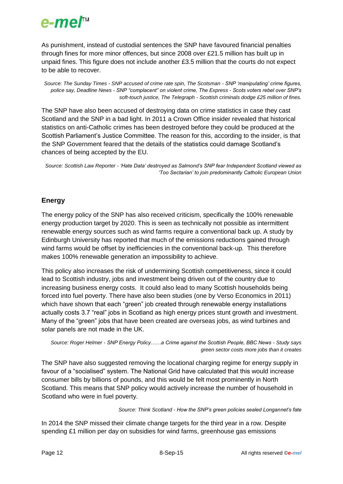

As punishment, instead of custodial sentences the SNP have favoured financial penalties through fines for more minor offences, but since 2008 over £21.5 million has built up in unpaid fines. This figure does not include another £3.5 million that the courts do not expect to be able to recover.

*Source: The Sunday Times - SNP accused of crime rate spin, The Scotsman - SNP 'manipulating' crime figures, police say, Deadline News - SNP "complacent" on violent crime, The Express - Scots voters rebel over SNP's soft-touch justice, The Telegraph - Scottish criminals dodge £25 million of fines.*

The SNP have also been accused of destroying data on crime statistics in case they cast Scotland and the SNP in a bad light. In 2011 a Crown Office insider revealed that historical statistics on anti-Catholic crimes has been destroyed before they could be produced at the Scottish Parliament's Justice Committee. The reason for this, according to the insider, is that the SNP Government feared that the details of the statistics could damage Scotland's chances of being accepted by the EU.

*Source: Scottish Law Reporter - 'Hate Data' destroyed as Salmond's SNP fear Independent Scotland viewed as 'Too Sectarian' to join predominantly Catholic European Union*

# **Energy**

The energy policy of the SNP has also received criticism, specifically the 100% renewable energy production target by 2020. This is seen as technically not possible as intermittent renewable energy sources such as wind farms require a conventional back up. A study by Edinburgh University has reported that much of the emissions reductions gained through wind farms would be offset by inefficiencies in the conventional back-up. This therefore makes 100% renewable generation an impossibility to achieve.

This policy also increases the risk of undermining Scottish competitiveness, since it could lead to Scottish industry, jobs and investment being driven out of the country due to increasing business energy costs. It could also lead to many Scottish households being forced into fuel poverty. There have also been studies (one by Verso Economics in 2011) which have shown that each "green" job created through renewable energy installations actually costs 3.7 "real" jobs in Scotland as high energy prices stunt growth and investment. Many of the "green" jobs that have been created are overseas jobs, as wind turbines and solar panels are not made in the UK.

```
Source: Roger Helmer - SNP Energy Policy……a Crime against the Scottish People, BBC News - Study says 
                                                 green sector costs more jobs than it creates
```
The SNP have also suggested removing the locational charging regime for energy supply in favour of a "socialised" system. The National Grid have calculated that this would increase consumer bills by billions of pounds, and this would be felt most prominently in North Scotland. This means that SNP policy would actively increase the number of household in Scotland who were in fuel poverty.

#### *Source: Think Scotland - How the SNP's green policies sealed Longannet's fate*

In 2014 the SNP missed their climate change targets for the third year in a row. Despite spending £1 million per day on subsidies for wind farms, greenhouse gas emissions